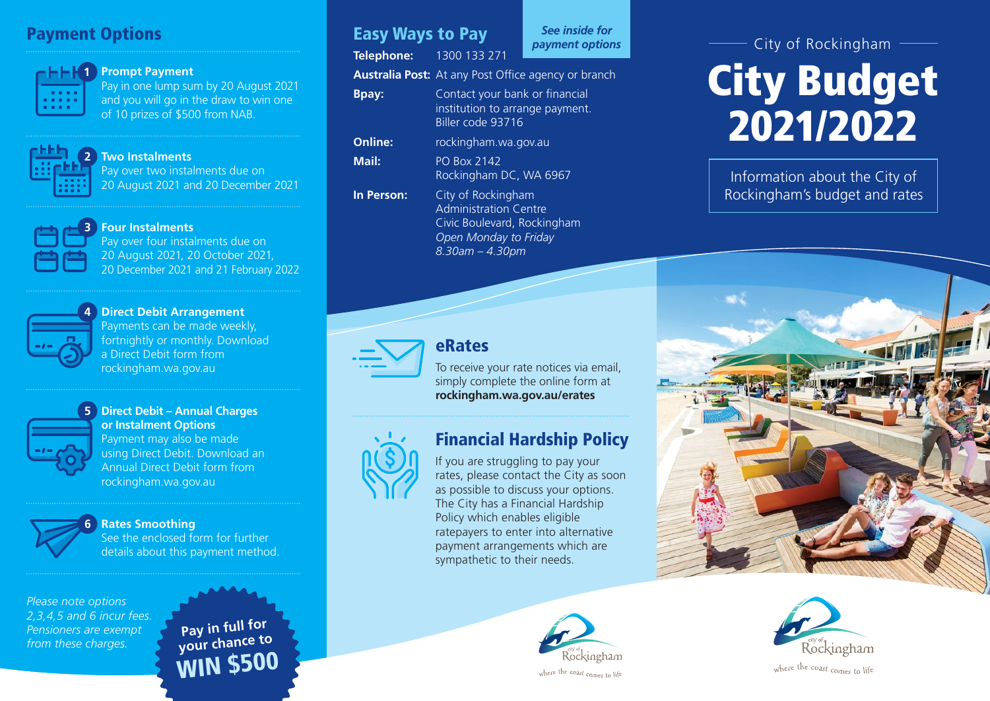# **Payment Options** Payment Options **Payment Options** Payment options **Payment Options**



#### **Prompt Payment**

Pay in one lump sum by 20 August 2021 and you will go in the draw to win one of 10 prizes of \$500 from NAB.



**3**

#### **Two Instalments**

Pay over two instalments due on 20 August 2021 and 20 December 2021

#### **Four Instalments**

Pay over four instalments due on 20 August 2021, 20 October 2021, 20 December 2021 and 21 February 2022



#### **Direct Debit Arrangement 4** Payments can be made weekly, fortnightly or monthly. Download a Direct Debit form from rockingham.wa.gov.au



## **Direct Debit – Annual Charges 5 or Instalment Options**

Payment may also be made using Direct Debit. Download an Annual Direct Debit form from rockingham.wa.gov.au



## **Rates Smoothing 6**

See the enclosed form for further details about this payment method.

*Please note options 2,3,4,5 and 6 incur fees. Pensioners are exempt from these charges.* **Pay in full for pay in full for the pay in full for** 

# WIN \$500

**Telephone:** 1300 133 271

*See inside for*

**Australia Post:** At any Post Office agency or branch

| <b>Bpay:</b>   | Contact your bank or financial<br>institution to arrange payment.<br>Biller code 93716 |
|----------------|----------------------------------------------------------------------------------------|
| <b>Online:</b> | rockingham.wa.gov.au                                                                   |
| Mail:          | <b>PO Box 2142</b><br>Rockingham DC, WA 6967                                           |
| In Person:     | City of Rockingham<br>Administration Centre                                            |

Administration Centre Civic Boulevard, Rockingham *Open Monday to Friday 8.30am – 4.30pm*



## eRates

To receive your rate notices via email, simply complete the online form at **rockingham.wa.gov.au/erates**

# Financial Hardship Policy

If you are struggling to pay your rates, please contact the City as soon as possible to discuss your options. The City has a Financial Hardship Policy which enables eligible ratepayers to enter into alternative payment arrangements which are sympathetic to their needs.



City of Rockingham

# City Budget 2021/2022

Information about the City of Rockingham's budget and rates



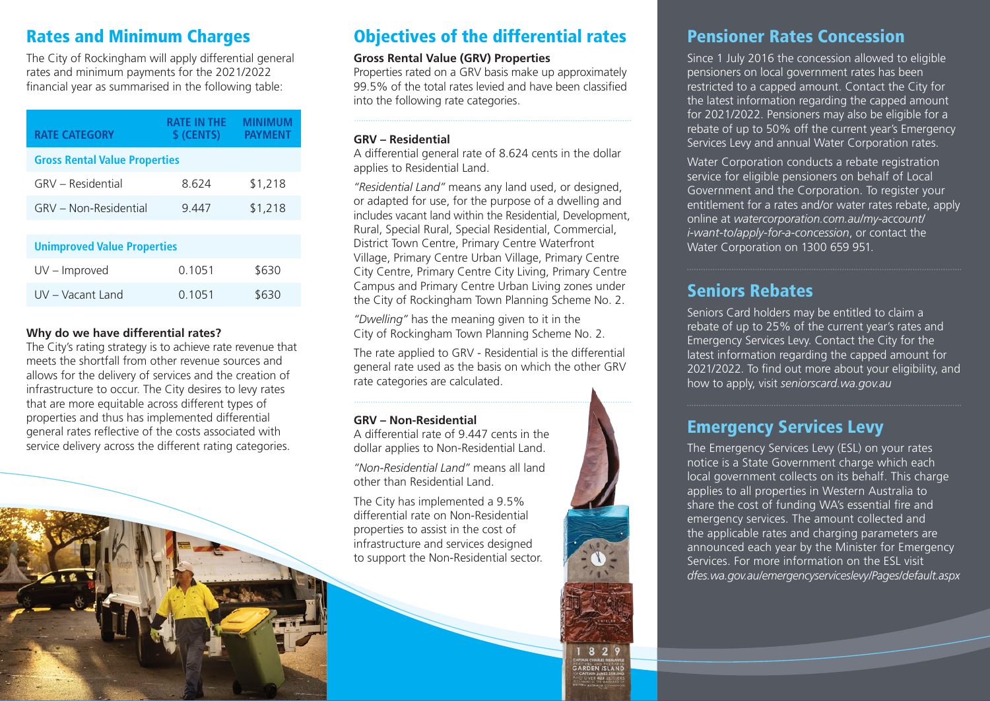# Rates and Minimum Charges

The City of Rockingham will apply differential general rates and minimum payments for the 2021/2022 financial year as summarised in the following table:

| <b>RATE CATEGORY</b>                 | RATE IN THE<br>\$ (CENTS) | <b>MINIMUM</b><br><b>PAYMENT</b> |  |  |
|--------------------------------------|---------------------------|----------------------------------|--|--|
| <b>Gross Rental Value Properties</b> |                           |                                  |  |  |
| GRV - Residential                    | 8 624                     | \$1,218                          |  |  |
| GRV - Non-Residential                | 9.447                     | \$1,218                          |  |  |
|                                      |                           |                                  |  |  |

| <b>Unimproved Value Properties</b> |        |       |  |  |
|------------------------------------|--------|-------|--|--|
| $UV - Improved$                    | 0.1051 | \$630 |  |  |
| UV – Vacant Land                   | 0.1051 | \$630 |  |  |

#### **Why do we have differential rates?**

The City's rating strategy is to achieve rate revenue that meets the shortfall from other revenue sources and allows for the delivery of services and the creation of infrastructure to occur. The City desires to levy rates that are more equitable across different types of properties and thus has implemented differential general rates reflective of the costs associated with service delivery across the different rating categories.



# Objectives of the differential rates

#### **Gross Rental Value (GRV) Properties**

Properties rated on a GRV basis make up approximately 99.5% of the total rates levied and have been classified into the following rate categories.

#### **GRV – Residential**

A differential general rate of 8.624 cents in the dollar applies to Residential Land.

*"Residential Land"* means any land used, or designed, or adapted for use, for the purpose of a dwelling and includes vacant land within the Residential, Development, Rural, Special Rural, Special Residential, Commercial, District Town Centre, Primary Centre Waterfront Village, Primary Centre Urban Village, Primary Centre City Centre, Primary Centre City Living, Primary Centre Campus and Primary Centre Urban Living zones under the City of Rockingham Town Planning Scheme No. 2.

*"Dwelling"* has the meaning given to it in the City of Rockingham Town Planning Scheme No. 2.

The rate applied to GRV - Residential is the differential general rate used as the basis on which the other GRV rate categories are calculated.

> 182 **ARDEN ISLAI**

#### **GRV – Non-Residential**

A differential rate of 9.447 cents in the dollar applies to Non-Residential Land.

*"Non-Residential Land"* means all land other than Residential Land.

The City has implemented a 9.5% differential rate on Non-Residential properties to assist in the cost of infrastructure and services designed to support the Non-Residential sector.

# Pensioner Rates Concession

Since 1 July 2016 the concession allowed to eligible pensioners on local government rates has been restricted to a capped amount. Contact the City for the latest information regarding the capped amount for 2021/2022. Pensioners may also be eligible for a rebate of up to 50% off the current year's Emergency Services Levy and annual Water Corporation rates.

Water Corporation conducts a rebate registration service for eligible pensioners on behalf of Local Government and the Corporation. To register your entitlement for a rates and/or water rates rebate, apply online at *watercorporation.com.au/my-account/ i-want-to/apply-for-a-concession*, or contact the Water Corporation on 1300 659 951.

# Seniors Rebates

Seniors Card holders may be entitled to claim a rebate of up to 25% of the current year's rates and Emergency Services Levy. Contact the City for the latest information regarding the capped amount for 2021/2022. To find out more about your eligibility, and how to apply, visit *seniorscard.wa.gov.au*

# Emergency Services Levy

The Emergency Services Levy (ESL) on your rates notice is a State Government charge which each local government collects on its behalf. This charge applies to all properties in Western Australia to share the cost of funding WA's essential fire and emergency services. The amount collected and the applicable rates and charging parameters are announced each year by the Minister for Emergency Services. For more information on the ESL visit *dfes.wa.gov.au/emergencyserviceslevy/Pages/default.aspx*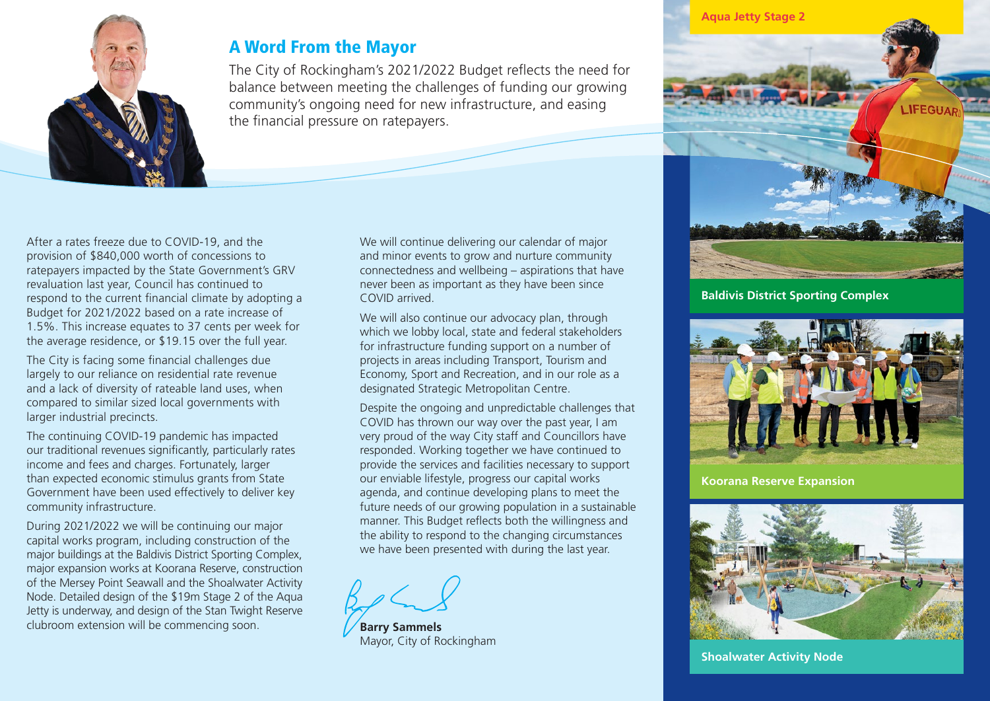

# A Word From the Mayor

The City of Rockingham's 2021/2022 Budget reflects the need for balance between meeting the challenges of funding our growing community's ongoing need for new infrastructure, and easing the financial pressure on ratepayers.

After a rates freeze due to COVID-19, and the provision of \$840,000 worth of concessions to ratepayers impacted by the State Government's GRV revaluation last year, Council has continued to respond to the current financial climate by adopting a Budget for 2021/2022 based on a rate increase of 1.5%. This increase equates to 37 cents per week for the average residence, or \$19.15 over the full year.

The City is facing some financial challenges due largely to our reliance on residential rate revenue and a lack of diversity of rateable land uses, when compared to similar sized local governments with larger industrial precincts.

The continuing COVID-19 pandemic has impacted our traditional revenues significantly, particularly rates income and fees and charges. Fortunately, larger than expected economic stimulus grants from State Government have been used effectively to deliver key community infrastructure.

During 2021/2022 we will be continuing our major capital works program, including construction of the major buildings at the Baldivis District Sporting Complex, major expansion works at Koorana Reserve, construction of the Mersey Point Seawall and the Shoalwater Activity Node. Detailed design of the \$19m Stage 2 of the Aqua Jetty is underway, and design of the Stan Twight Reserve clubroom extension will be commencing soon.

We will continue delivering our calendar of major and minor events to grow and nurture community connectedness and wellbeing – aspirations that have never been as important as they have been since COVID arrived.

We will also continue our advocacy plan, through which we lobby local, state and federal stakeholders for infrastructure funding support on a number of projects in areas including Transport, Tourism and Economy, Sport and Recreation, and in our role as a designated Strategic Metropolitan Centre.

Despite the ongoing and unpredictable challenges that COVID has thrown our way over the past year, I am very proud of the way City staff and Councillors have responded. Working together we have continued to provide the services and facilities necessary to support our enviable lifestyle, progress our capital works agenda, and continue developing plans to meet the future needs of our growing population in a sustainable manner. This Budget reflects both the willingness and the ability to respond to the changing circumstances we have been presented with during the last year.

**Barry Sammels** Mayor, City of Rockingham



**Baldivis District Sporting Complex** 



**Koorana Reserve Expansion**



**Shoalwater Activity Node**